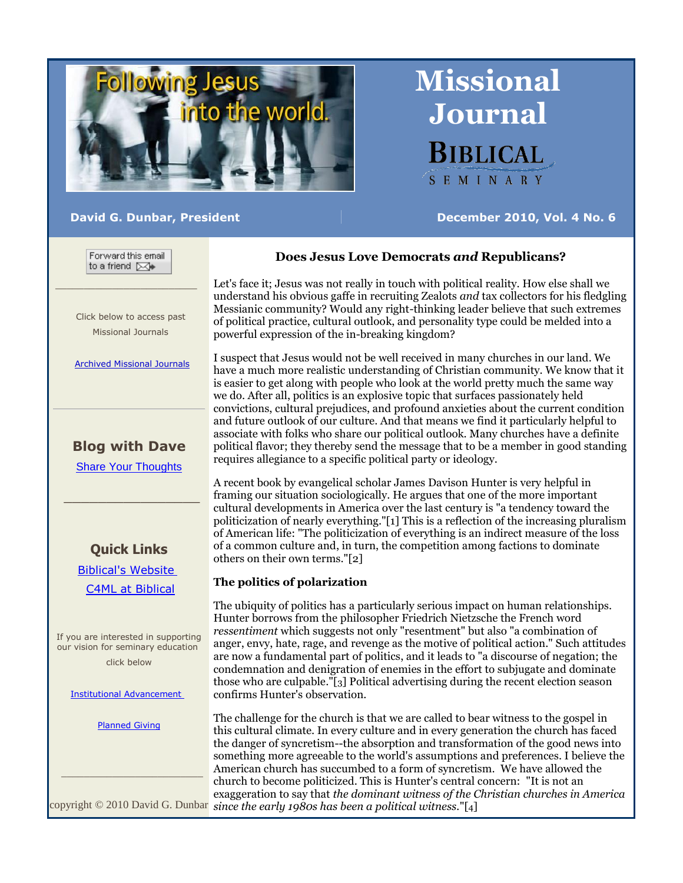

**David G. Dunbar, President December 2010, Vol. 4 No. 6**

**Missional**

**Journal**

**BIBLICAL** 

SEMINARY

Forward this email to a friend [X7)

 Click below to access past Missional Journals

[Archived Missional Journals](http://rs6.net/tn.jsp?et=1102921068149&s=0&e=001ft3-JrYJytuKOMg5OzqeBQhwmSJ4IfEpM2wEYJIn_I1SuohOMsrquzTvXonIT4mUWobRUyJiU2KPQvrr1pS5weX3NRP_CoepEi2OrppCDsUas-rJIdDKrl25REynnC4WiQobGVHZKxYUftQK-TxrWL9zD5czo3pT-I2iX8qpxVg=)

# **Blog with Dave**

[Share Your Thoughts](http://rs6.net/tn.jsp?et=1102921068149&s=0&e=001ft3-JrYJytuKOMg5OzqeBQhwmSJ4IfEpM2wEYJIn_I1SuohOMsrquzTvXonIT4mUR-9-2sH9aPIKGQGI_YRjiCYZn0qACEZcGmJHyDKhRFrdnKzVbKdlxviAxu_m-ji7jePD-lOH1Hg=)

 $\overline{\phantom{a}}$  ,  $\overline{\phantom{a}}$  ,  $\overline{\phantom{a}}$  ,  $\overline{\phantom{a}}$  ,  $\overline{\phantom{a}}$  ,  $\overline{\phantom{a}}$  ,  $\overline{\phantom{a}}$  ,  $\overline{\phantom{a}}$  ,  $\overline{\phantom{a}}$  ,  $\overline{\phantom{a}}$  ,  $\overline{\phantom{a}}$  ,  $\overline{\phantom{a}}$  ,  $\overline{\phantom{a}}$  ,  $\overline{\phantom{a}}$  ,  $\overline{\phantom{a}}$  ,  $\overline{\phantom{a}}$ 

# **Quick Links**

 [Biblical's Website](http://rs6.net/tn.jsp?et=1102921068149&s=0&e=001ft3-JrYJytuKOMg5OzqeBQhwmSJ4IfEpM2wEYJIn_I1SuohOMsrquzTvXonIT4mUWobRUyJiU2KPQvrr1pS5we-Mmi-trt--wyhD8etSivtdbuD7WwPxFw==) [C4ML at Biblical](http://rs6.net/tn.jsp?et=1102921068149&s=0&e=001ft3-JrYJytuKOMg5OzqeBQhwmSJ4IfEpM2wEYJIn_I1SuohOMsrquzTvXonIT4mUWobRUyJiU2KPQvrr1pS5wb2QLcuVxGk-v007lq1OgOB5Fvlwvv-zBNvCdQRB_-G1Q0u1luK6g0mnpkDLtCNQGtgrQWsmbJ9U)

If you are interested in supporting our vision for seminary education click below

[Institutional Advancement](http://rs6.net/tn.jsp?et=1102921068149&s=0&e=001ft3-JrYJytuKOMg5OzqeBQhwmSJ4IfEpM2wEYJIn_I1SuohOMsrquzTvXonIT4mUWobRUyJiU2KPQvrr1pS5wb2QLcuVxGk-v007lq1OgOCYN4JJ0CbTtMe3v2FY7GDLBzQxTGOP6FmCUeahApFoUg==)

[Planned Giving](http://rs6.net/tn.jsp?et=1102921068149&s=0&e=001ft3-JrYJytuKOMg5OzqeBQhwmSJ4IfEpM2wEYJIn_I1SuohOMsrquzTvXonIT4mUWobRUyJiU2KPQvrr1pS5wb2QLcuVxGk-v007lq1OgOD1xryB-9RlNf22PRULKDPoroeGSczonn_AhOLYfn0pyw==)

\_\_\_\_\_\_\_\_\_\_\_\_\_\_\_\_\_\_\_\_\_\_\_\_\_

# **Does Jesus Love Democrats** *and* **Republicans?**

Let's face it; Jesus was not really in touch with political reality. How else shall we understand his obvious gaffe in recruiting Zealots *and* tax collectors for his fledgling Messianic community? Would any right-thinking leader believe that such extremes of political practice, cultural outlook, and personality type could be melded into a powerful expression of the in-breaking kingdom?

I suspect that Jesus would not be well received in many churches in our land. We have a much more realistic understanding of Christian community. We know that it is easier to get along with people who look at the world pretty much the same way we do. After all, politics is an explosive topic that surfaces passionately held convictions, cultural prejudices, and profound anxieties about the current condition and future outlook of our culture. And that means we find it particularly helpful to associate with folks who share our political outlook. Many churches have a definite political flavor; they thereby send the message that to be a member in good standing requires allegiance to a specific political party or ideology.

A recent book by evangelical scholar James Davison Hunter is very helpful in framing our situation sociologically. He argues that one of the more important cultural developments in America over the last century is "a tendency toward the politicization of nearly everything."[1] This is a reflection of the increasing pluralism of American life: "The politicization of everything is an indirect measure of the loss of a common culture and, in turn, the competition among factions to dominate others on their own terms."[2]

## **The politics of polarization**

The ubiquity of politics has a particularly serious impact on human relationships. Hunter borrows from the philosopher Friedrich Nietzsche the French word *ressentiment* which suggests not only "resentment" but also "a combination of anger, envy, hate, rage, and revenge as the motive of political action." Such attitudes are now a fundamental part of politics, and it leads to "a discourse of negation; the condemnation and denigration of enemies in the effort to subjugate and dominate those who are culpable."[3] Political advertising during the recent election season confirms Hunter's observation.

copyright © 2010 David G. Dunbar *since the early 1980s has been a political witness.*"[4]The challenge for the church is that we are called to bear witness to the gospel in this cultural climate. In every culture and in every generation the church has faced the danger of syncretism--the absorption and transformation of the good news into something more agreeable to the world's assumptions and preferences. I believe the American church has succumbed to a form of syncretism. We have allowed the church to become politicized. This is Hunter's central concern: "It is not an exaggeration to say that *the dominant witness of the Christian churches in America*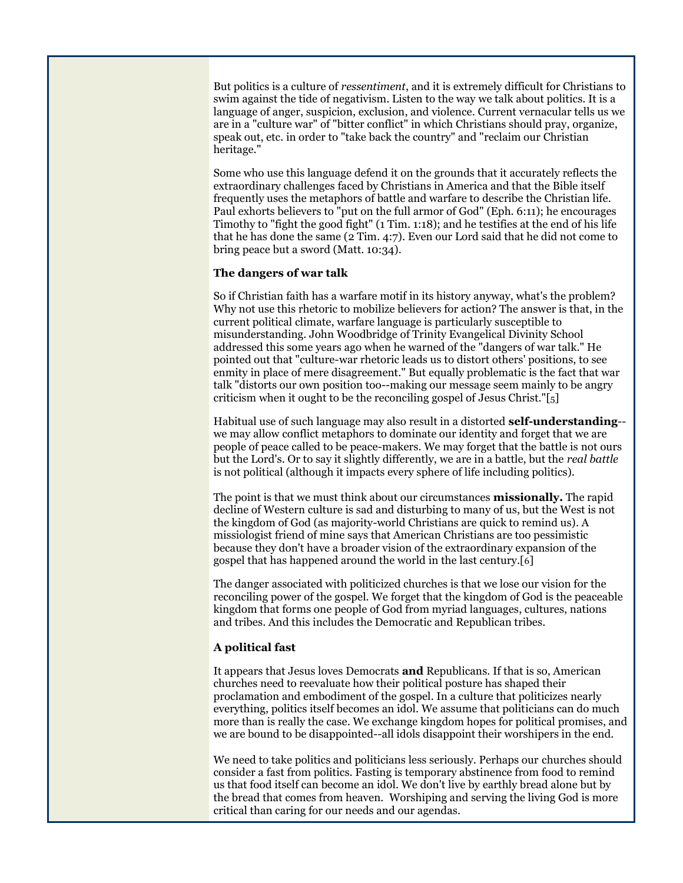But politics is a culture of *ressentiment*, and it is extremely difficult for Christians to swim against the tide of negativism. Listen to the way we talk about politics. It is a language of anger, suspicion, exclusion, and violence. Current vernacular tells us we are in a "culture war" of "bitter conflict" in which Christians should pray, organize, speak out, etc. in order to "take back the country" and "reclaim our Christian heritage."

Some who use this language defend it on the grounds that it accurately reflects the extraordinary challenges faced by Christians in America and that the Bible itself frequently uses the metaphors of battle and warfare to describe the Christian life. Paul exhorts believers to "put on the full armor of God" (Eph. 6:11); he encourages Timothy to "fight the good fight" (1 Tim. 1:18); and he testifies at the end of his life that he has done the same (2 Tim. 4:7). Even our Lord said that he did not come to bring peace but a sword (Matt. 10:34).

#### **The dangers of war talk**

So if Christian faith has a warfare motif in its history anyway, what's the problem? Why not use this rhetoric to mobilize believers for action? The answer is that, in the current political climate, warfare language is particularly susceptible to misunderstanding. John Woodbridge of Trinity Evangelical Divinity School addressed this some years ago when he warned of the "dangers of war talk." He pointed out that "culture-war rhetoric leads us to distort others' positions, to see enmity in place of mere disagreement." But equally problematic is the fact that war talk "distorts our own position too--making our message seem mainly to be angry criticism when it ought to be the reconciling gospel of Jesus Christ."[5]

Habitual use of such language may also result in a distorted **self-understanding**- we may allow conflict metaphors to dominate our identity and forget that we are people of peace called to be peace-makers. We may forget that the battle is not ours but the Lord's. Or to say it slightly differently, we are in a battle, but the *real battle* is not political (although it impacts every sphere of life including politics).

The point is that we must think about our circumstances **missionally.** The rapid decline of Western culture is sad and disturbing to many of us, but the West is not the kingdom of God (as majority-world Christians are quick to remind us). A missiologist friend of mine says that American Christians are too pessimistic because they don't have a broader vision of the extraordinary expansion of the gospel that has happened around the world in the last century.[6]

The danger associated with politicized churches is that we lose our vision for the reconciling power of the gospel. We forget that the kingdom of God is the peaceable kingdom that forms one people of God from myriad languages, cultures, nations and tribes. And this includes the Democratic and Republican tribes.

### **A political fast**

It appears that Jesus loves Democrats **and** Republicans. If that is so, American churches need to reevaluate how their political posture has shaped their proclamation and embodiment of the gospel. In a culture that politicizes nearly everything, politics itself becomes an idol. We assume that politicians can do much more than is really the case. We exchange kingdom hopes for political promises, and we are bound to be disappointed--all idols disappoint their worshipers in the end.

We need to take politics and politicians less seriously. Perhaps our churches should consider a fast from politics. Fasting is temporary abstinence from food to remind us that food itself can become an idol. We don't live by earthly bread alone but by the bread that comes from heaven. Worshiping and serving the living God is more critical than caring for our needs and our agendas.